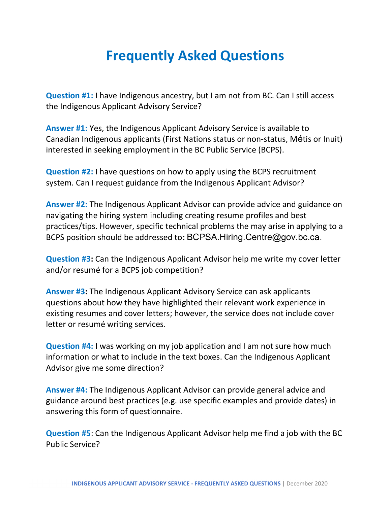## Frequently Asked Questions

Question #1: I have Indigenous ancestry, but I am not from BC. Can I still access the Indigenous Applicant Advisory Service?

Answer #1: Yes, the Indigenous Applicant Advisory Service is available to Canadian Indigenous applicants (First Nations status or non-status, Métis or Inuit) interested in seeking employment in the BC Public Service (BCPS).

Question #2: I have questions on how to apply using the BCPS recruitment system. Can I request guidance from the Indigenous Applicant Advisor?

Answer #2: The Indigenous Applicant Advisor can provide advice and guidance on navigating the hiring system including creating resume profiles and best practices/tips. However, specific technical problems the may arise in applying to a BCPS position should be addressed to: BCPSA.Hiring.Centre@gov.bc.ca.

Question #3: Can the Indigenous Applicant Advisor help me write my cover letter and/or resumé for a BCPS job competition?

Answer #3: The Indigenous Applicant Advisory Service can ask applicants questions about how they have highlighted their relevant work experience in existing resumes and cover letters; however, the service does not include cover letter or resumé writing services.

Question #4: I was working on my job application and I am not sure how much information or what to include in the text boxes. Can the Indigenous Applicant Advisor give me some direction?

Answer #4: The Indigenous Applicant Advisor can provide general advice and guidance around best practices (e.g. use specific examples and provide dates) in answering this form of questionnaire.

Question #5: Can the Indigenous Applicant Advisor help me find a job with the BC Public Service?